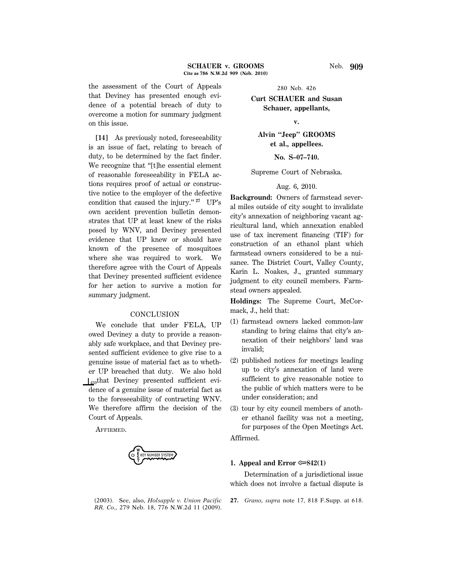the assessment of the Court of Appeals that Deviney has presented enough evidence of a potential breach of duty to overcome a motion for summary judgment on this issue.

**[14]** As previously noted, foreseeability is an issue of fact, relating to breach of duty, to be determined by the fact finder. We recognize that "[t]he essential element of reasonable foreseeability in FELA actions requires proof of actual or constructive notice to the employer of the defective condition that caused the injury.'' **<sup>27</sup>** UP's own accident prevention bulletin demonstrates that UP at least knew of the risks posed by WNV, and Deviney presented evidence that UP knew or should have known of the presence of mosquitoes where she was required to work. We therefore agree with the Court of Appeals that Deviney presented sufficient evidence for her action to survive a motion for summary judgment.

#### **CONCLUSION**

We conclude that under FELA, UP owed Deviney a duty to provide a reasonably safe workplace, and that Deviney presented sufficient evidence to give rise to a genuine issue of material fact as to whether UP breached that duty. We also hold  $\vert_{459}$ that Deviney presented sufficient evidence of a genuine issue of material fact as to the foreseeability of contracting WNV. We therefore affirm the decision of the Court of Appeals.

AFFIRMED.

E KEY NUMBER SYSTEM

(2003). See, also, *Holsapple v. Union Pacific RR. Co.,* 279 Neb. 18, 776 N.W.2d 11 (2009).

280 Neb. 426

**Curt SCHAUER and Susan Schauer, appellants,**

## **v.**

**Alvin ''Jeep'' GROOMS et al., appellees.**

**No. S–07–740.**

Supreme Court of Nebraska.

## Aug. 6, 2010.

**Background:** Owners of farmstead several miles outside of city sought to invalidate city's annexation of neighboring vacant agricultural land, which annexation enabled use of tax increment financing (TIF) for construction of an ethanol plant which farmstead owners considered to be a nuisance. The District Court, Valley County, Karin L. Noakes, J., granted summary judgment to city council members. Farmstead owners appealed.

**Holdings:** The Supreme Court, McCormack, J., held that:

- (1) farmstead owners lacked common-law standing to bring claims that city's annexation of their neighbors' land was invalid;
- (2) published notices for meetings leading up to city's annexation of land were sufficient to give reasonable notice to the public of which matters were to be under consideration; and
- (3) tour by city council members of another ethanol facility was not a meeting, for purposes of the Open Meetings Act.

Affirmed.

#### **1. Appeal and Error**  $\infty$ **842(1)**

Determination of a jurisdictional issue which does not involve a factual dispute is

**27.** *Grano, supra* note 17, 818 F.Supp. at 618.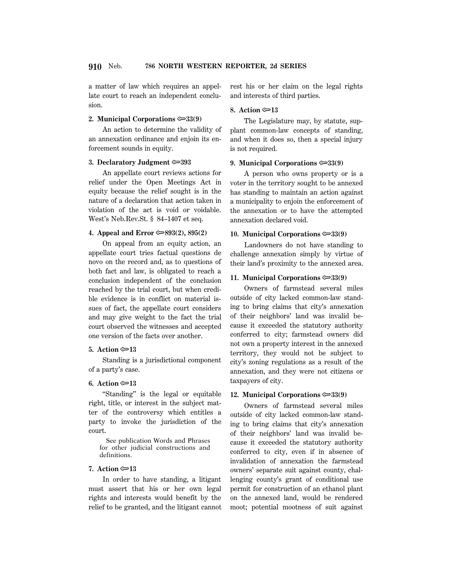a matter of law which requires an appellate court to reach an independent conclusion.

## **2. Municipal Corporations**  $\approx 33(9)$

An action to determine the validity of an annexation ordinance and enjoin its enforcement sounds in equity.

### **3. Declaratory Judgment** O**393**

An appellate court reviews actions for relief under the Open Meetings Act in equity because the relief sought is in the nature of a declaration that action taken in violation of the act is void or voidable. West's Neb.Rev.St. § 84–1407 et seq.

## **4. Appeal and Error**  $\mathcal{D}(2)$ **, 895(2)**

On appeal from an equity action, an appellate court tries factual questions de novo on the record and, as to questions of both fact and law, is obligated to reach a conclusion independent of the conclusion reached by the trial court, but when credible evidence is in conflict on material issues of fact, the appellate court considers and may give weight to the fact the trial court observed the witnesses and accepted one version of the facts over another.

## **5.** Action  $\approx 13$

Standing is a jurisdictional component of a party's case.

#### **6.** Action  $\approx 13$

"Standing" is the legal or equitable right, title, or interest in the subject matter of the controversy which entitles a party to invoke the jurisdiction of the court.

 See publication Words and Phrases for other judicial constructions and definitions.

## **7.** Action **<del></del>∞13**

In order to have standing, a litigant must assert that his or her own legal rights and interests would benefit by the relief to be granted, and the litigant cannot rest his or her claim on the legal rights and interests of third parties.

## **8.** Action  $\text{≥}13$

The Legislature may, by statute, supplant common-law concepts of standing, and when it does so, then a special injury is not required.

### **9. Municipal Corporations**  $\approx 33(9)$

A person who owns property or is a voter in the territory sought to be annexed has standing to maintain an action against a municipality to enjoin the enforcement of the annexation or to have the attempted annexation declared void.

## **10. Municipal Corporations**  $\approx 33(9)$

Landowners do not have standing to challenge annexation simply by virtue of their land's proximity to the annexed area.

#### **11. Municipal Corporations**  $\approx 33(9)$

Owners of farmstead several miles outside of city lacked common-law standing to bring claims that city's annexation of their neighbors' land was invalid because it exceeded the statutory authority conferred to city; farmstead owners did not own a property interest in the annexed territory, they would not be subject to city's zoning regulations as a result of the annexation, and they were not citizens or taxpayers of city.

### **12. Municipal Corporations**  $\approx 33(9)$

Owners of farmstead several miles outside of city lacked common-law standing to bring claims that city's annexation of their neighbors' land was invalid because it exceeded the statutory authority conferred to city, even if in absence of invalidation of annexation the farmstead owners' separate suit against county, challenging county's grant of conditional use permit for construction of an ethanol plant on the annexed land, would be rendered moot; potential mootness of suit against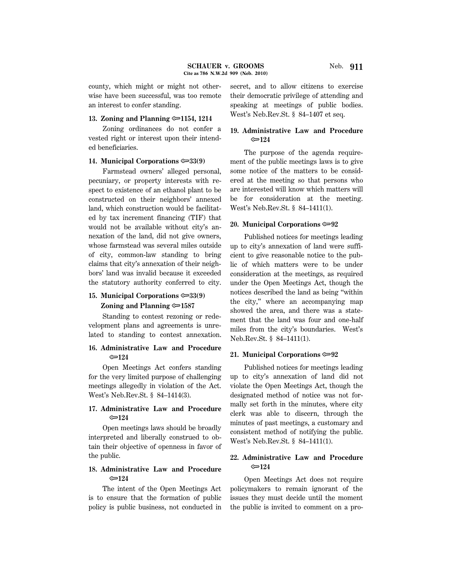county, which might or might not otherwise have been successful, was too remote an interest to confer standing.

#### **13. Zoning and Planning** O**1154, 1214**

Zoning ordinances do not confer a vested right or interest upon their intended beneficiaries.

#### **14. Municipal Corporations**  $\approx 33(9)$

Farmstead owners' alleged personal, pecuniary, or property interests with respect to existence of an ethanol plant to be constructed on their neighbors' annexed land, which construction would be facilitated by tax increment financing (TIF) that would not be available without city's annexation of the land, did not give owners, whose farmstead was several miles outside of city, common-law standing to bring claims that city's annexation of their neighbors' land was invalid because it exceeded the statutory authority conferred to city.

### **15. Municipal Corporations**  $\approx 33(9)$

#### **Zoning and Planning** O**1587**

Standing to contest rezoning or redevelopment plans and agreements is unrelated to standing to contest annexation.

## **16. Administrative Law and Procedure** O**124**

Open Meetings Act confers standing for the very limited purpose of challenging meetings allegedly in violation of the Act. West's Neb.Rev.St. § 84–1414(3).

## **17. Administrative Law and Procedure** O**124**

Open meetings laws should be broadly interpreted and liberally construed to obtain their objective of openness in favor of the public.

## **18. Administrative Law and Procedure** O**124**

The intent of the Open Meetings Act is to ensure that the formation of public policy is public business, not conducted in secret, and to allow citizens to exercise their democratic privilege of attending and speaking at meetings of public bodies. West's Neb.Rev.St. § 84–1407 et seq.

## **19. Administrative Law and Procedure** O**124**

The purpose of the agenda requirement of the public meetings laws is to give some notice of the matters to be considered at the meeting so that persons who are interested will know which matters will be for consideration at the meeting. West's Neb.Rev.St. § 84–1411(1).

#### **20. Municipal Corporations**  $\infty$ 92

Published notices for meetings leading up to city's annexation of land were sufficient to give reasonable notice to the public of which matters were to be under consideration at the meetings, as required under the Open Meetings Act, though the notices described the land as being ''within the city,'' where an accompanying map showed the area, and there was a statement that the land was four and one-half miles from the city's boundaries. West's Neb.Rev.St. § 84–1411(1).

#### **21. Municipal Corporations** O**92**

Published notices for meetings leading up to city's annexation of land did not violate the Open Meetings Act, though the designated method of notice was not formally set forth in the minutes, where city clerk was able to discern, through the minutes of past meetings, a customary and consistent method of notifying the public. West's Neb.Rev.St. § 84–1411(1).

## **22. Administrative Law and Procedure** O**124**

Open Meetings Act does not require policymakers to remain ignorant of the issues they must decide until the moment the public is invited to comment on a pro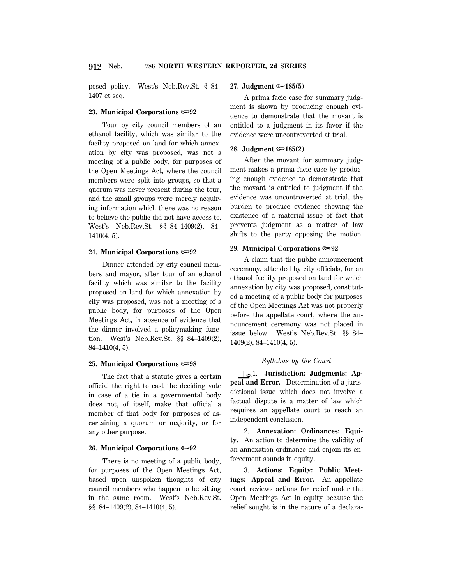posed policy. West's Neb.Rev.St. § 84– 1407 et seq.

#### **23. Municipal Corporations**  $\approx 92$

Tour by city council members of an ethanol facility, which was similar to the facility proposed on land for which annexation by city was proposed, was not a meeting of a public body, for purposes of the Open Meetings Act, where the council members were split into groups, so that a quorum was never present during the tour, and the small groups were merely acquiring information which there was no reason to believe the public did not have access to. West's Neb.Rev.St. §§ 84–1409(2), 84– 1410(4, 5).

#### **24. Municipal Corporations**  $\approx 92$

Dinner attended by city council members and mayor, after tour of an ethanol facility which was similar to the facility proposed on land for which annexation by city was proposed, was not a meeting of a public body, for purposes of the Open Meetings Act, in absence of evidence that the dinner involved a policymaking function. West's Neb.Rev.St. §§ 84–1409(2), 84–1410(4, 5).

#### **25. Municipal Corporations**  $\approx 98$

The fact that a statute gives a certain official the right to cast the deciding vote in case of a tie in a governmental body does not, of itself, make that official a member of that body for purposes of ascertaining a quorum or majority, or for any other purpose.

#### **26. Municipal Corporations**  $\approx 92$

There is no meeting of a public body, for purposes of the Open Meetings Act, based upon unspoken thoughts of city council members who happen to be sitting in the same room. West's Neb.Rev.St. §§ 84-1409(2), 84-1410(4, 5).

#### **27. Judgment** O**185(5)**

A prima facie case for summary judgment is shown by producing enough evidence to demonstrate that the movant is entitled to a judgment in its favor if the evidence were uncontroverted at trial.

#### **28. Judgment** O**185(2)**

After the movant for summary judgment makes a prima facie case by producing enough evidence to demonstrate that the movant is entitled to judgment if the evidence was uncontroverted at trial, the burden to produce evidence showing the existence of a material issue of fact that prevents judgment as a matter of law shifts to the party opposing the motion.

#### **29. Municipal Corporations** O**92**

A claim that the public announcement ceremony, attended by city officials, for an ethanol facility proposed on land for which annexation by city was proposed, constituted a meeting of a public body for purposes of the Open Meetings Act was not properly before the appellate court, where the announcement ceremony was not placed in issue below. West's Neb.Rev.St. §§ 84– 1409(2), 84–1410(4, 5).

#### *Syllabus by the Court*

S4261. **Jurisdiction: Judgments: Appeal and Error.** Determination of a jurisdictional issue which does not involve a factual dispute is a matter of law which requires an appellate court to reach an independent conclusion.

2. **Annexation: Ordinances: Equity.** An action to determine the validity of an annexation ordinance and enjoin its enforcement sounds in equity.

3. **Actions: Equity: Public Meetings: Appeal and Error.** An appellate court reviews actions for relief under the Open Meetings Act in equity because the relief sought is in the nature of a declara-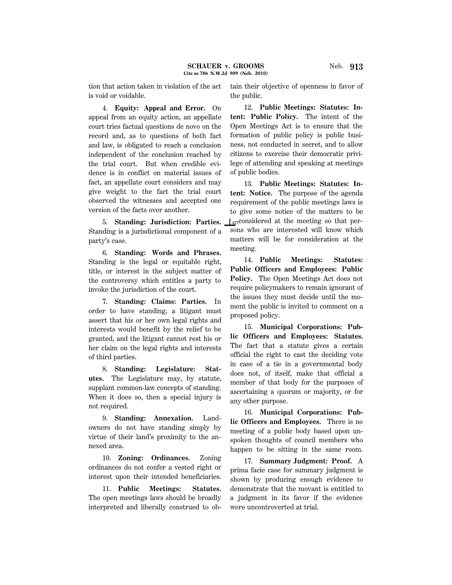4. **Equity: Appeal and Error.** On appeal from an equity action, an appellate court tries factual questions de novo on the record and, as to questions of both fact and law, is obligated to reach a conclusion independent of the conclusion reached by the trial court. But when credible evidence is in conflict on material issues of fact, an appellate court considers and may give weight to the fact the trial court observed the witnesses and accepted one version of the facts over another.

5. **Standing: Jurisdiction: Parties.** Standing is a jurisdictional component of a party's case.

6. **Standing: Words and Phrases.** Standing is the legal or equitable right, title, or interest in the subject matter of the controversy which entitles a party to invoke the jurisdiction of the court.

7. **Standing: Claims: Parties.** In order to have standing, a litigant must assert that his or her own legal rights and interests would benefit by the relief to be granted, and the litigant cannot rest his or her claim on the legal rights and interests of third parties.

8. **Standing: Legislature: Statutes.** The Legislature may, by statute, supplant common-law concepts of standing. When it does so, then a special injury is not required.

9. **Standing: Annexation.** Landowners do not have standing simply by virtue of their land's proximity to the annexed area.

10. **Zoning: Ordinances.** Zoning ordinances do not confer a vested right or interest upon their intended beneficiaries.

11. **Public Meetings: Statutes.** The open meetings laws should be broadly interpreted and liberally construed to obtain their objective of openness in favor of the public.

12. **Public Meetings: Statutes: Intent: Public Policy.** The intent of the Open Meetings Act is to ensure that the formation of public policy is public business, not conducted in secret, and to allow citizens to exercise their democratic privilege of attending and speaking at meetings of public bodies.

13. **Public Meetings: Statutes: Intent: Notice.** The purpose of the agenda requirement of the public meetings laws is to give some notice of the matters to be  $\mu_{27}$ considered at the meeting so that persons who are interested will know which matters will be for consideration at the meeting.

14. **Public Meetings: Statutes: Public Officers and Employees: Public Policy.** The Open Meetings Act does not require policymakers to remain ignorant of the issues they must decide until the moment the public is invited to comment on a proposed policy.

15. **Municipal Corporations: Public Officers and Employees: Statutes.** The fact that a statute gives a certain official the right to cast the deciding vote in case of a tie in a governmental body does not, of itself, make that official a member of that body for the purposes of ascertaining a quorum or majority, or for any other purpose.

16. **Municipal Corporations: Public Officers and Employees.** There is no meeting of a public body based upon unspoken thoughts of council members who happen to be sitting in the same room.

17. **Summary Judgment: Proof.** A prima facie case for summary judgment is shown by producing enough evidence to demonstrate that the movant is entitled to a judgment in its favor if the evidence were uncontroverted at trial.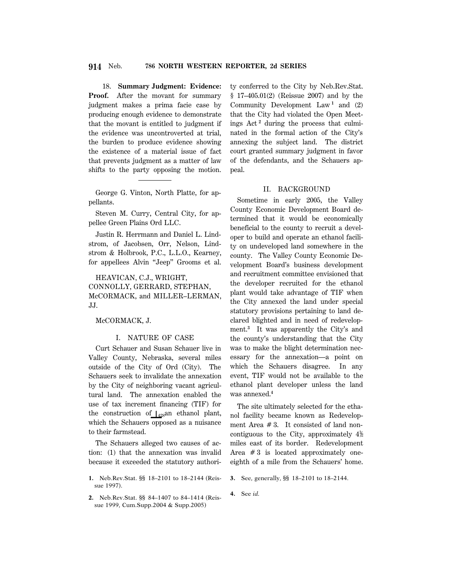18. **Summary Judgment: Evidence:** Proof. After the movant for summary judgment makes a prima facie case by producing enough evidence to demonstrate that the movant is entitled to judgment if the evidence was uncontroverted at trial, the burden to produce evidence showing the existence of a material issue of fact that prevents judgment as a matter of law shifts to the party opposing the motion.

George G. Vinton, North Platte, for appellants.

Steven M. Curry, Central City, for appellee Green Plains Ord LLC.

Justin R. Herrmann and Daniel L. Lindstrom, of Jacobsen, Orr, Nelson, Lindstrom & Holbrook, P.C., L.L.O., Kearney, for appellees Alvin ''Jeep'' Grooms et al.

HEAVICAN, C.J., WRIGHT, CONNOLLY, GERRARD, STEPHAN, McCORMACK, and MILLER–LERMAN, JJ.

McCORMACK, J.

## I. NATURE OF CASE

Curt Schauer and Susan Schauer live in Valley County, Nebraska, several miles outside of the City of Ord (City). The Schauers seek to invalidate the annexation by the City of neighboring vacant agricultural land. The annexation enabled the use of tax increment financing (TIF) for the construction of  $\int_{428}$ an ethanol plant, which the Schauers opposed as a nuisance to their farmstead.

The Schauers alleged two causes of action: (1) that the annexation was invalid because it exceeded the statutory authori-

- **1.** Neb.Rev.Stat. §§ 18–2101 to 18–2144 (Reissue 1997).
- **2.** Neb.Rev.Stat. §§ 84–1407 to 84–1414 (Reissue 1999, Cum.Supp.2004 & Supp.2005)

ty conferred to the City by Neb.Rev.Stat. § 17–405.01(2) (Reissue 2007) and by the Community Development  $Law<sup>1</sup>$  and (2) that the City had violated the Open Meetings Act **<sup>2</sup>** during the process that culminated in the formal action of the City's annexing the subject land. The district court granted summary judgment in favor of the defendants, and the Schauers appeal.

## II. BACKGROUND

Sometime in early 2005, the Valley County Economic Development Board determined that it would be economically beneficial to the county to recruit a developer to build and operate an ethanol facility on undeveloped land somewhere in the county. The Valley County Economic Development Board's business development and recruitment committee envisioned that the developer recruited for the ethanol plant would take advantage of TIF when the City annexed the land under special statutory provisions pertaining to land declared blighted and in need of redevelopment.**<sup>3</sup>** It was apparently the City's and the county's understanding that the City was to make the blight determination necessary for the annexation—a point on which the Schauers disagree. In any event, TIF would not be available to the ethanol plant developer unless the land was annexed.**<sup>4</sup>**

The site ultimately selected for the ethanol facility became known as Redevelopment Area # 3. It consisted of land noncontiguous to the City, approximately  $4\frac{1}{2}$ miles east of its border. Redevelopment Area  $#3$  is located approximately oneeighth of a mile from the Schauers' home.

- **3.** See, generally, §§ 18–2101 to 18–2144.
- **4.** See *id.*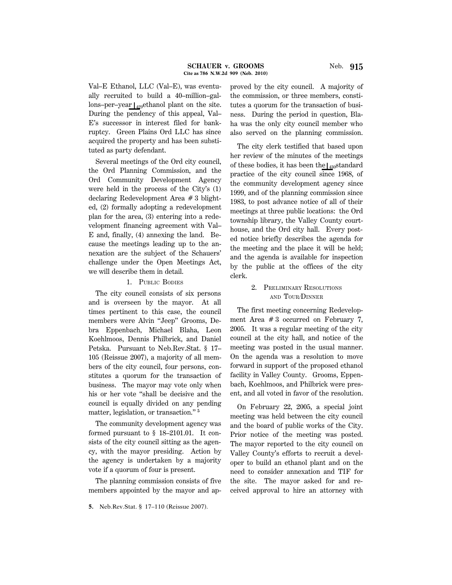Val–E Ethanol, LLC (Val–E), was eventually recruited to build a 40–million–gallons–per–year  $\vert_{429}$ ethanol plant on the site.

During the pendency of this appeal, Val– E's successor in interest filed for bankruptcy. Green Plains Ord LLC has since acquired the property and has been substituted as party defendant.

Several meetings of the Ord city council, the Ord Planning Commission, and the Ord Community Development Agency were held in the process of the City's (1) declaring Redevelopment Area # 3 blighted, (2) formally adopting a redevelopment plan for the area, (3) entering into a redevelopment financing agreement with Val– E and, finally, (4) annexing the land. Because the meetings leading up to the annexation are the subject of the Schauers' challenge under the Open Meetings Act, we will describe them in detail.

## 1. PUBLIC BODIES

The city council consists of six persons and is overseen by the mayor. At all times pertinent to this case, the council members were Alvin ''Jeep'' Grooms, Debra Eppenbach, Michael Blaha, Leon Koehlmoos, Dennis Philbrick, and Daniel Petska. Pursuant to Neb.Rev.Stat. § 17– 105 (Reissue 2007), a majority of all members of the city council, four persons, constitutes a quorum for the transaction of business. The mayor may vote only when his or her vote ''shall be decisive and the council is equally divided on any pending matter, legislation, or transaction."<sup>5</sup>

The community development agency was formed pursuant to § 18–2101.01. It consists of the city council sitting as the agency, with the mayor presiding. Action by the agency is undertaken by a majority vote if a quorum of four is present.

The planning commission consists of five members appointed by the mayor and approved by the city council. A majority of the commission, or three members, constitutes a quorum for the transaction of business. During the period in question, Blaha was the only city council member who also served on the planning commission.

The city clerk testified that based upon her review of the minutes of the meetings of these bodies, it has been the  $\frac{1}{430}$ standard practice of the city council since 1968, of the community development agency since 1999, and of the planning commission since 1983, to post advance notice of all of their meetings at three public locations: the Ord township library, the Valley County courthouse, and the Ord city hall. Every posted notice briefly describes the agenda for the meeting and the place it will be held; and the agenda is available for inspection by the public at the offices of the city clerk.

## 2. PRELIMINARY RESOLUTIONS AND TOUR/DINNER

The first meeting concerning Redevelopment Area # 3 occurred on February 7, 2005. It was a regular meeting of the city council at the city hall, and notice of the meeting was posted in the usual manner. On the agenda was a resolution to move forward in support of the proposed ethanol facility in Valley County. Grooms, Eppenbach, Koehlmoos, and Philbrick were present, and all voted in favor of the resolution.

On February 22, 2005, a special joint meeting was held between the city council and the board of public works of the City. Prior notice of the meeting was posted. The mayor reported to the city council on Valley County's efforts to recruit a developer to build an ethanol plant and on the need to consider annexation and TIF for the site. The mayor asked for and received approval to hire an attorney with

**<sup>5.</sup>** Neb.Rev.Stat. § 17–110 (Reissue 2007).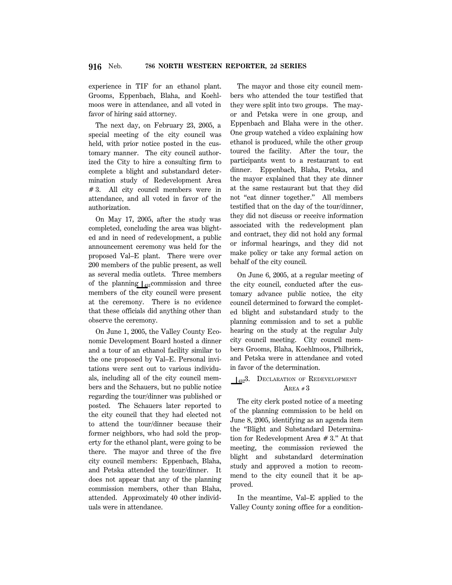experience in TIF for an ethanol plant. Grooms, Eppenbach, Blaha, and Koehlmoos were in attendance, and all voted in favor of hiring said attorney.

The next day, on February 23, 2005, a special meeting of the city council was held, with prior notice posted in the customary manner. The city council authorized the City to hire a consulting firm to complete a blight and substandard determination study of Redevelopment Area # 3. All city council members were in attendance, and all voted in favor of the authorization.

On May 17, 2005, after the study was completed, concluding the area was blighted and in need of redevelopment, a public announcement ceremony was held for the proposed Val–E plant. There were over 200 members of the public present, as well as several media outlets. Three members of the planning  $\frac{1}{431}$ commission and three members of the city council were present at the ceremony. There is no evidence that these officials did anything other than observe the ceremony.

On June 1, 2005, the Valley County Economic Development Board hosted a dinner and a tour of an ethanol facility similar to the one proposed by Val–E. Personal invitations were sent out to various individuals, including all of the city council members and the Schauers, but no public notice regarding the tour/dinner was published or posted. The Schauers later reported to the city council that they had elected not to attend the tour/dinner because their former neighbors, who had sold the property for the ethanol plant, were going to be there. The mayor and three of the five city council members: Eppenbach, Blaha, and Petska attended the tour/dinner. It does not appear that any of the planning commission members, other than Blaha, attended. Approximately 40 other individuals were in attendance.

The mayor and those city council members who attended the tour testified that they were split into two groups. The mayor and Petska were in one group, and Eppenbach and Blaha were in the other. One group watched a video explaining how ethanol is produced, while the other group toured the facility. After the tour, the participants went to a restaurant to eat dinner. Eppenbach, Blaha, Petska, and the mayor explained that they ate dinner at the same restaurant but that they did not "eat dinner together." All members testified that on the day of the tour/dinner, they did not discuss or receive information associated with the redevelopment plan and contract, they did not hold any formal or informal hearings, and they did not make policy or take any formal action on behalf of the city council.

On June 6, 2005, at a regular meeting of the city council, conducted after the customary advance public notice, the city council determined to forward the completed blight and substandard study to the planning commission and to set a public hearing on the study at the regular July city council meeting. City council members Grooms, Blaha, Koehlmoos, Philbrick, and Petska were in attendance and voted in favor of the determination.

## 132<sup>3</sup>. DECLARATION OF REDEVELOPMENT AREA  $#3$

The city clerk posted notice of a meeting of the planning commission to be held on June 8, 2005, identifying as an agenda item the ''Blight and Substandard Determination for Redevelopment Area # 3.'' At that meeting, the commission reviewed the blight and substandard determination study and approved a motion to recommend to the city council that it be approved.

In the meantime, Val–E applied to the Valley County zoning office for a condition-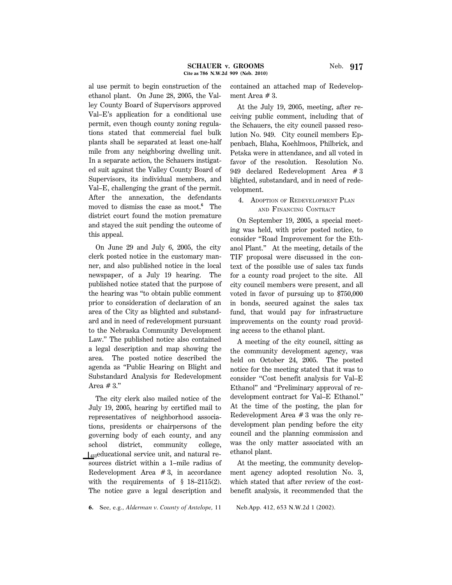al use permit to begin construction of the ethanol plant. On June 28, 2005, the Valley County Board of Supervisors approved Val–E's application for a conditional use permit, even though county zoning regulations stated that commercial fuel bulk plants shall be separated at least one-half mile from any neighboring dwelling unit. In a separate action, the Schauers instigated suit against the Valley County Board of Supervisors, its individual members, and Val–E, challenging the grant of the permit. After the annexation, the defendants moved to dismiss the case as moot.**<sup>6</sup>** The district court found the motion premature and stayed the suit pending the outcome of this appeal.

On June 29 and July 6, 2005, the city clerk posted notice in the customary manner, and also published notice in the local newspaper, of a July 19 hearing. The published notice stated that the purpose of the hearing was ''to obtain public comment prior to consideration of declaration of an area of the City as blighted and substandard and in need of redevelopment pursuant to the Nebraska Community Development Law.'' The published notice also contained a legal description and map showing the area. The posted notice described the agenda as ''Public Hearing on Blight and Substandard Analysis for Redevelopment Area  $#3."$ 

The city clerk also mailed notice of the July 19, 2005, hearing by certified mail to representatives of neighborhood associations, presidents or chairpersons of the governing body of each county, and any school district, community college,  $\mathcal{L}_{433}$ educational service unit, and natural resources district within a 1–mile radius of Redevelopment Area  $# 3$ , in accordance with the requirements of  $\S$  18-2115(2). The notice gave a legal description and contained an attached map of Redevelopment Area # 3.

At the July 19, 2005, meeting, after receiving public comment, including that of the Schauers, the city council passed resolution No. 949. City council members Eppenbach, Blaha, Koehlmoos, Philbrick, and Petska were in attendance, and all voted in favor of the resolution. Resolution No. 949 declared Redevelopment Area # 3 blighted, substandard, and in need of redevelopment.

## 4. ADOPTION OF REDEVELOPMENT PLAN AND FINANCING CONTRACT

On September 19, 2005, a special meeting was held, with prior posted notice, to consider ''Road Improvement for the Ethanol Plant.'' At the meeting, details of the TIF proposal were discussed in the context of the possible use of sales tax funds for a county road project to the site. All city council members were present, and all voted in favor of pursuing up to \$750,000 in bonds, secured against the sales tax fund, that would pay for infrastructure improvements on the county road providing access to the ethanol plant.

A meeting of the city council, sitting as the community development agency, was held on October 24, 2005. The posted notice for the meeting stated that it was to consider ''Cost benefit analysis for Val–E Ethanol'' and ''Preliminary approval of redevelopment contract for Val–E Ethanol.'' At the time of the posting, the plan for Redevelopment Area  $# 3$  was the only redevelopment plan pending before the city council and the planning commission and was the only matter associated with an ethanol plant.

At the meeting, the community development agency adopted resolution No. 3, which stated that after review of the costbenefit analysis, it recommended that the

**6.** See, e.g., *Alderman v. County of Antelope,* 11 Neb.App. 412, 653 N.W.2d 1 (2002).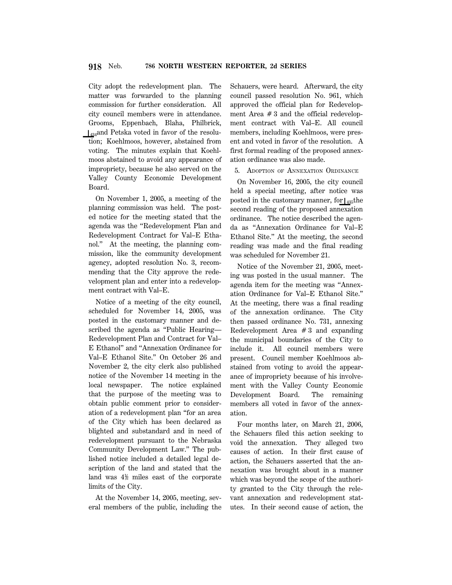City adopt the redevelopment plan. The matter was forwarded to the planning commission for further consideration. All city council members were in attendance. Grooms, Eppenbach, Blaha, Philbrick,  $\frac{1}{434}$ and Petska voted in favor of the resolution; Koehlmoos, however, abstained from voting. The minutes explain that Koehlmoos abstained to avoid any appearance of impropriety, because he also served on the Valley County Economic Development Board.

On November 1, 2005, a meeting of the planning commission was held. The posted notice for the meeting stated that the agenda was the ''Redevelopment Plan and Redevelopment Contract for Val–E Ethanol.'' At the meeting, the planning commission, like the community development agency, adopted resolution No. 3, recommending that the City approve the redevelopment plan and enter into a redevelopment contract with Val–E.

Notice of a meeting of the city council, scheduled for November 14, 2005, was posted in the customary manner and described the agenda as ''Public Hearing— Redevelopment Plan and Contract for Val– E Ethanol'' and ''Annexation Ordinance for Val–E Ethanol Site.'' On October 26 and November 2, the city clerk also published notice of the November 14 meeting in the local newspaper. The notice explained that the purpose of the meeting was to obtain public comment prior to consideration of a redevelopment plan ''for an area of the City which has been declared as blighted and substandard and in need of redevelopment pursuant to the Nebraska Community Development Law.'' The published notice included a detailed legal description of the land and stated that the land was  $4\frac{1}{2}$  miles east of the corporate limits of the City.

At the November 14, 2005, meeting, several members of the public, including the Schauers, were heard. Afterward, the city council passed resolution No. 961, which approved the official plan for Redevelopment Area  $# 3$  and the official redevelopment contract with Val–E. All council members, including Koehlmoos, were present and voted in favor of the resolution. A first formal reading of the proposed annexation ordinance was also made.

5. ADOPTION OF ANNEXATION ORDINANCE

On November 16, 2005, the city council held a special meeting, after notice was posted in the customary manner, for  $\vert_{435}$ the second reading of the proposed annexation ordinance. The notice described the agenda as ''Annexation Ordinance for Val–E Ethanol Site.'' At the meeting, the second reading was made and the final reading was scheduled for November 21.

Notice of the November 21, 2005, meeting was posted in the usual manner. The agenda item for the meeting was ''Annexation Ordinance for Val–E Ethanol Site.'' At the meeting, there was a final reading of the annexation ordinance. The City then passed ordinance No. 731, annexing Redevelopment Area  $# 3$  and expanding the municipal boundaries of the City to include it. All council members were present. Council member Koehlmoos abstained from voting to avoid the appearance of impropriety because of his involvement with the Valley County Economic Development Board. The remaining members all voted in favor of the annexation.

Four months later, on March 21, 2006, the Schauers filed this action seeking to void the annexation. They alleged two causes of action. In their first cause of action, the Schauers asserted that the annexation was brought about in a manner which was beyond the scope of the authority granted to the City through the relevant annexation and redevelopment statutes. In their second cause of action, the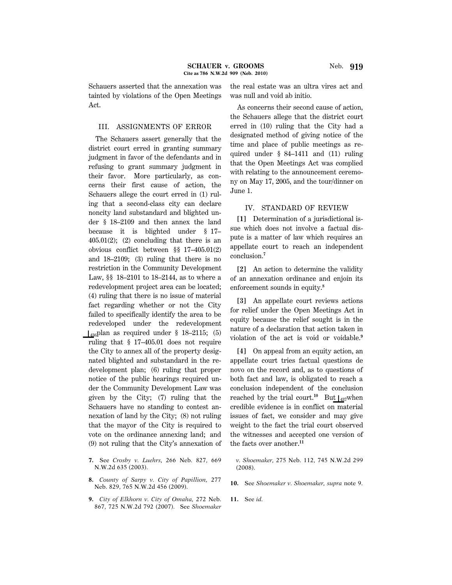#### III. ASSIGNMENTS OF ERROR

The Schauers assert generally that the district court erred in granting summary judgment in favor of the defendants and in refusing to grant summary judgment in their favor. More particularly, as concerns their first cause of action, the Schauers allege the court erred in (1) ruling that a second-class city can declare noncity land substandard and blighted under § 18–2109 and then annex the land because it is blighted under § 17–  $405.01(2)$ ; (2) concluding that there is an obvious conflict between §§ 17–405.01(2) and 18–2109; (3) ruling that there is no restriction in the Community Development Law, §§ 18–2101 to 18–2144, as to where a redevelopment project area can be located; (4) ruling that there is no issue of material fact regarding whether or not the City failed to specifically identify the area to be redeveloped under the redevelopment  $\mu_{36}$ plan as required under § 18–2115; (5) ruling that § 17–405.01 does not require the City to annex all of the property designated blighted and substandard in the redevelopment plan; (6) ruling that proper notice of the public hearings required under the Community Development Law was given by the City; (7) ruling that the Schauers have no standing to contest annexation of land by the City; (8) not ruling that the mayor of the City is required to vote on the ordinance annexing land; and (9) not ruling that the City's annexation of

- **7.** See *Crosby v. Luehrs,* 266 Neb. 827, 669 N.W.2d 635 (2003).
- **8.** *County of Sarpy v. City of Papillion,* 277 Neb. 829, 765 N.W.2d 456 (2009).
- **9.** *City of Elkhorn v. City of Omaha,* 272 Neb. 867, 725 N.W.2d 792 (2007). See *Shoemaker*

the real estate was an ultra vires act and was null and void ab initio.

As concerns their second cause of action, the Schauers allege that the district court erred in (10) ruling that the City had a designated method of giving notice of the time and place of public meetings as required under § 84–1411 and (11) ruling that the Open Meetings Act was complied with relating to the announcement ceremony on May 17, 2005, and the tour/dinner on June 1.

## IV. STANDARD OF REVIEW

**[1]** Determination of a jurisdictional issue which does not involve a factual dispute is a matter of law which requires an appellate court to reach an independent conclusion.**<sup>7</sup>**

**[2]** An action to determine the validity of an annexation ordinance and enjoin its enforcement sounds in equity.**<sup>8</sup>**

**[3]** An appellate court reviews actions for relief under the Open Meetings Act in equity because the relief sought is in the nature of a declaration that action taken in violation of the act is void or voidable.**<sup>9</sup>**

**[4]** On appeal from an equity action, an appellate court tries factual questions de novo on the record and, as to questions of both fact and law, is obligated to reach a conclusion independent of the conclusion reached by the trial court.<sup>10</sup> But  $\left| \right|_{437}$ when credible evidence is in conflict on material issues of fact, we consider and may give weight to the fact the trial court observed the witnesses and accepted one version of the facts over another.**<sup>11</sup>**

*v. Shoemaker,* 275 Neb. 112, 745 N.W.2d 299 (2008).

**10.** See *Shoemaker v. Shoemaker, supra* note 9.

**11.** See *id.*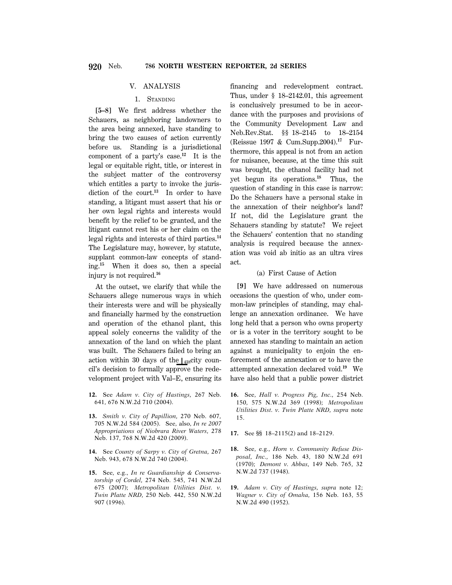## V. ANALYSIS

## 1. STANDING

**[5–8]** We first address whether the Schauers, as neighboring landowners to the area being annexed, have standing to bring the two causes of action currently before us. Standing is a jurisdictional component of a party's case.**<sup>12</sup>** It is the legal or equitable right, title, or interest in the subject matter of the controversy which entitles a party to invoke the jurisdiction of the court.**<sup>13</sup>** In order to have standing, a litigant must assert that his or her own legal rights and interests would benefit by the relief to be granted, and the litigant cannot rest his or her claim on the legal rights and interests of third parties.**<sup>14</sup>** The Legislature may, however, by statute, supplant common-law concepts of standing.**<sup>15</sup>** When it does so, then a special injury is not required.**<sup>16</sup>**

At the outset, we clarify that while the Schauers allege numerous ways in which their interests were and will be physically and financially harmed by the construction and operation of the ethanol plant, this appeal solely concerns the validity of the annexation of the land on which the plant was built. The Schauers failed to bring an action within 30 days of the  $\frac{1}{438}$ city council's decision to formally approve the redevelopment project with Val–E, ensuring its

- **12.** See *Adam v. City of Hastings,* 267 Neb. 641, 676 N.W.2d 710 (2004).
- **13.** *Smith v. City of Papillion,* 270 Neb. 607, 705 N.W.2d 584 (2005). See, also, *In re 2007 Appropriations of Niobrara River Waters,* 278 Neb. 137, 768 N.W.2d 420 (2009).
- **14.** See *County of Sarpy v. City of Gretna,* 267 Neb. 943, 678 N.W.2d 740 (2004).
- **15.** See, e.g., *In re Guardianship & Conservatorship of Cordel,* 274 Neb. 545, 741 N.W.2d 675 (2007); *Metropolitan Utilities Dist. v. Twin Platte NRD,* 250 Neb. 442, 550 N.W.2d 907 (1996).

financing and redevelopment contract. Thus, under § 18–2142.01, this agreement is conclusively presumed to be in accordance with the purposes and provisions of the Community Development Law and Neb.Rev.Stat. §§ 18–2145 to 18–2154 (Reissue 1997 & Cum.Supp.2004).**17** Furthermore, this appeal is not from an action for nuisance, because, at the time this suit was brought, the ethanol facility had not yet begun its operations.**<sup>18</sup>** Thus, the question of standing in this case is narrow: Do the Schauers have a personal stake in the annexation of their neighbor's land? If not, did the Legislature grant the Schauers standing by statute? We reject the Schauers' contention that no standing analysis is required because the annexation was void ab initio as an ultra vires act.

## (a) First Cause of Action

**[9]** We have addressed on numerous occasions the question of who, under common-law principles of standing, may challenge an annexation ordinance. We have long held that a person who owns property or is a voter in the territory sought to be annexed has standing to maintain an action against a municipality to enjoin the enforcement of the annexation or to have the attempted annexation declared void.**<sup>19</sup>** We have also held that a public power district

- **16.** See, *Hall v. Progress Pig, Inc.,* 254 Neb. 150, 575 N.W.2d 369 (1998); *Metropolitan Utilities Dist. v. Twin Platte NRD, supra* note 15.
- **17.** See §§ 18–2115(2) and 18–2129.
- **18.** See, e.g., *Horn v. Community Refuse Disposal, Inc.,* 186 Neb. 43, 180 N.W.2d 691 (1970); *Demont v. Abbas,* 149 Neb. 765, 32 N.W.2d 737 (1948).
- **19.** *Adam v. City of Hastings, supra* note 12; *Wagner v. City of Omaha,* 156 Neb. 163, 55 N.W.2d 490 (1952).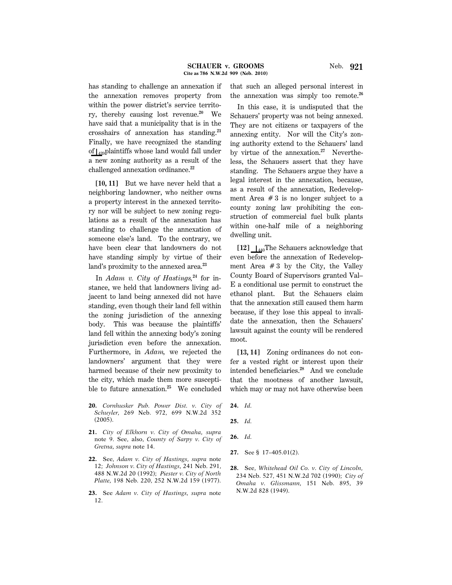has standing to challenge an annexation if the annexation removes property from within the power district's service territory, thereby causing lost revenue.**<sup>20</sup>** We have said that a municipality that is in the crosshairs of annexation has standing.**<sup>21</sup>** Finally, we have recognized the standing of  $\int_{439}$ plaintiffs whose land would fall under a new zoning authority as a result of the challenged annexation ordinance.**<sup>22</sup>**

**[10, 11]** But we have never held that a neighboring landowner, who neither owns a property interest in the annexed territory nor will be subject to new zoning regulations as a result of the annexation has standing to challenge the annexation of someone else's land. To the contrary, we have been clear that landowners do not have standing simply by virtue of their land's proximity to the annexed area.**<sup>23</sup>**

In *Adam v. City of Hastings,***24** for instance, we held that landowners living adjacent to land being annexed did not have standing, even though their land fell within the zoning jurisdiction of the annexing body. This was because the plaintiffs' land fell within the annexing body's zoning jurisdiction even before the annexation. Furthermore, in *Adam,* we rejected the landowners' argument that they were harmed because of their new proximity to the city, which made them more susceptible to future annexation.**<sup>25</sup>** We concluded

- **20.** *Cornhusker Pub. Power Dist. v. City of Schuyler,* 269 Neb. 972, 699 N.W.2d 352 (2005).
- **21.** *City of Elkhorn v. City of Omaha, supra* note 9. See, also, *County of Sarpy v. City of Gretna, supra* note 14.
- **22.** See, *Adam v. City of Hastings, supra* note 12; *Johnson v. City of Hastings,* 241 Neb. 291, 488 N.W.2d 20 (1992); *Piester v. City of North Platte,* 198 Neb. 220, 252 N.W.2d 159 (1977).
- **23.** See *Adam v. City of Hastings, supra* note 12.

that such an alleged personal interest in the annexation was simply too remote.**<sup>26</sup>**

In this case, it is undisputed that the Schauers' property was not being annexed. They are not citizens or taxpayers of the annexing entity. Nor will the City's zoning authority extend to the Schauers' land by virtue of the annexation.**27** Nevertheless, the Schauers assert that they have standing. The Schauers argue they have a legal interest in the annexation, because, as a result of the annexation, Redevelopment Area  $# 3$  is no longer subject to a county zoning law prohibiting the construction of commercial fuel bulk plants within one-half mile of a neighboring dwelling unit.

 $[12]$   $\bigcup_{440}$ The Schauers acknowledge that even before the annexation of Redevelopment Area  $# 3$  by the City, the Valley County Board of Supervisors granted Val– E a conditional use permit to construct the ethanol plant. But the Schauers claim that the annexation still caused them harm because, if they lose this appeal to invalidate the annexation, then the Schauers' lawsuit against the county will be rendered moot.

[13, 14] Zoning ordinances do not confer a vested right or interest upon their intended beneficiaries.**<sup>28</sup>** And we conclude that the mootness of another lawsuit, which may or may not have otherwise been

- **24.** *Id.*
- **25.** *Id.*
- **26.** *Id.*
- **27.** See § 17–405.01(2).
- **28.** See, *Whitehead Oil Co. v. City of Lincoln,* 234 Neb. 527, 451 N.W.2d 702 (1990); *City of Omaha v. Glissmann,* 151 Neb. 895, 39 N.W.2d 828 (1949).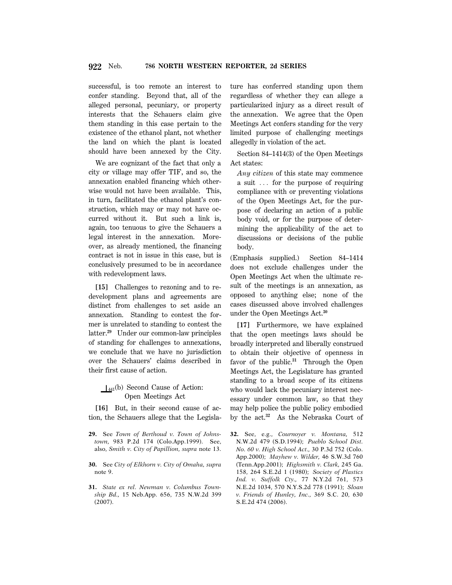successful, is too remote an interest to confer standing. Beyond that, all of the alleged personal, pecuniary, or property interests that the Schauers claim give them standing in this case pertain to the existence of the ethanol plant, not whether the land on which the plant is located should have been annexed by the City.

We are cognizant of the fact that only a city or village may offer TIF, and so, the annexation enabled financing which otherwise would not have been available. This, in turn, facilitated the ethanol plant's construction, which may or may not have occurred without it. But such a link is, again, too tenuous to give the Schauers a legal interest in the annexation. Moreover, as already mentioned, the financing contract is not in issue in this case, but is conclusively presumed to be in accordance with redevelopment laws.

**[15]** Challenges to rezoning and to redevelopment plans and agreements are distinct from challenges to set aside an annexation. Standing to contest the former is unrelated to standing to contest the latter.**<sup>29</sup>** Under our common-law principles of standing for challenges to annexations, we conclude that we have no jurisdiction over the Schauers' claims described in their first cause of action.

## $\perp$ <sub>441</sub>(b) Second Cause of Action: Open Meetings Act

**[16]** But, in their second cause of action, the Schauers allege that the Legisla-

- **29.** See *Town of Berthoud v. Town of Johnstown,* 983 P.2d 174 (Colo.App.1999). See, also, *Smith v. City of Papillion, supra* note 13.
- **30.** See *City of Elkhorn v. City of Omaha, supra* note 9.
- **31.** *State ex rel. Newman v. Columbus Township Bd.,* 15 Neb.App. 656, 735 N.W.2d 399 (2007).

ture has conferred standing upon them regardless of whether they can allege a particularized injury as a direct result of the annexation. We agree that the Open Meetings Act confers standing for the very limited purpose of challenging meetings allegedly in violation of the act.

Section 84–1414(3) of the Open Meetings Act states:

*Any citizen* of this state may commence a suit  $\ldots$  for the purpose of requiring compliance with or preventing violations of the Open Meetings Act, for the purpose of declaring an action of a public body void, or for the purpose of determining the applicability of the act to discussions or decisions of the public body.

(Emphasis supplied.) Section 84–1414 does not exclude challenges under the Open Meetings Act when the ultimate result of the meetings is an annexation, as opposed to anything else; none of the cases discussed above involved challenges under the Open Meetings Act.**<sup>30</sup>**

**[17]** Furthermore, we have explained that the open meetings laws should be broadly interpreted and liberally construed to obtain their objective of openness in favor of the public.**<sup>31</sup>** Through the Open Meetings Act, the Legislature has granted standing to a broad scope of its citizens who would lack the pecuniary interest necessary under common law, so that they may help police the public policy embodied by the act.**<sup>32</sup>** As the Nebraska Court of

**32.** See, e.g., *Cournoyer v. Montana,* 512 N.W.2d 479 (S.D.1994); *Pueblo School Dist. No. 60 v. High School Act.,* 30 P.3d 752 (Colo. App.2000); *Mayhew v. Wilder,* 46 S.W.3d 760 (Tenn.App.2001); *Highsmith v. Clark,* 245 Ga. 158, 264 S.E.2d 1 (1980); *Society of Plastics Ind. v. Suffolk Cty.,* 77 N.Y.2d 761, 573 N.E.2d 1034, 570 N.Y.S.2d 778 (1991); *Sloan v. Friends of Hunley, Inc.,* 369 S.C. 20, 630 S.E.2d 474 (2006).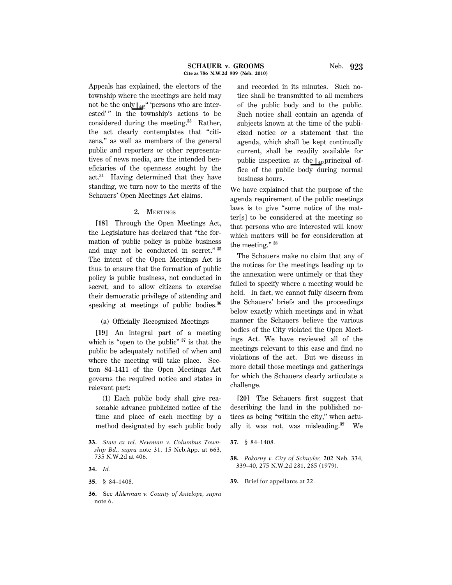Appeals has explained, the electors of the township where the meetings are held may not be the only  $\frac{1}{442}$ " 'persons who are interested'" in the township's actions to be considered during the meeting.**<sup>33</sup>** Rather, the act clearly contemplates that ''citizens,'' as well as members of the general public and reporters or other representatives of news media, are the intended beneficiaries of the openness sought by the act.**<sup>34</sup>** Having determined that they have standing, we turn now to the merits of the Schauers' Open Meetings Act claims.

## 2. MEETINGS

**[18]** Through the Open Meetings Act, the Legislature has declared that ''the formation of public policy is public business and may not be conducted in secret.'' **<sup>35</sup>** The intent of the Open Meetings Act is thus to ensure that the formation of public policy is public business, not conducted in secret, and to allow citizens to exercise their democratic privilege of attending and speaking at meetings of public bodies.**<sup>36</sup>**

(a) Officially Recognized Meetings

**[19]** An integral part of a meeting which is "open to the public"<sup>37</sup> is that the public be adequately notified of when and where the meeting will take place. Section 84–1411 of the Open Meetings Act governs the required notice and states in relevant part:

(1) Each public body shall give reasonable advance publicized notice of the time and place of each meeting by a method designated by each public body

**36.** See *Alderman v. County of Antelope, supra* note 6.

and recorded in its minutes. Such notice shall be transmitted to all members of the public body and to the public. Such notice shall contain an agenda of subjects known at the time of the publicized notice or a statement that the agenda, which shall be kept continually current, shall be readily available for public inspection at the  $\left[\right]_{443}$ principal office of the public body during normal business hours.

We have explained that the purpose of the agenda requirement of the public meetings laws is to give ''some notice of the matter[s] to be considered at the meeting so that persons who are interested will know which matters will be for consideration at the meeting.'' **<sup>38</sup>**

The Schauers make no claim that any of the notices for the meetings leading up to the annexation were untimely or that they failed to specify where a meeting would be held. In fact, we cannot fully discern from the Schauers' briefs and the proceedings below exactly which meetings and in what manner the Schauers believe the various bodies of the City violated the Open Meetings Act. We have reviewed all of the meetings relevant to this case and find no violations of the act. But we discuss in more detail those meetings and gatherings for which the Schauers clearly articulate a challenge.

**[20]** The Schauers first suggest that describing the land in the published notices as being ''within the city,'' when actually it was not, was misleading.**<sup>39</sup>** We

**39.** Brief for appellants at 22.

**<sup>33.</sup>** *State ex rel. Newman v. Columbus Township Bd., supra* note 31, 15 Neb.App. at 663, 735 N.W.2d at 406.

**<sup>34.</sup>** *Id.*

**<sup>35.</sup>** § 84–1408.

**<sup>37.</sup>** § 84–1408.

**<sup>38.</sup>** *Pokorny v. City of Schuyler,* 202 Neb. 334, 339–40, 275 N.W.2d 281, 285 (1979).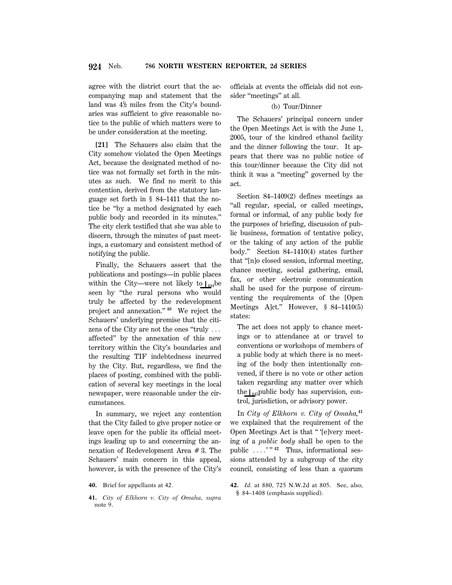agree with the district court that the accompanying map and statement that the land was  $4\frac{1}{2}$  miles from the City's boundaries was sufficient to give reasonable notice to the public of which matters were to be under consideration at the meeting.

**[21]** The Schauers also claim that the City somehow violated the Open Meetings Act, because the designated method of notice was not formally set forth in the minutes as such. We find no merit to this contention, derived from the statutory language set forth in § 84–1411 that the notice be ''by a method designated by each public body and recorded in its minutes.'' The city clerk testified that she was able to discern, through the minutes of past meetings, a customary and consistent method of notifying the public.

Finally, the Schauers assert that the publications and postings—in public places within the City—were not likely to  $\vert_{444}$ be seen by ''the rural persons who would truly be affected by the redevelopment project and annexation.'' **<sup>40</sup>** We reject the Schauers' underlying premise that the citizens of the City are not the ones "truly  $\ldots$ affected'' by the annexation of this new territory within the City's boundaries and the resulting TIF indebtedness incurred by the City. But, regardless, we find the places of posting, combined with the publication of several key meetings in the local newspaper, were reasonable under the circumstances.

In summary, we reject any contention that the City failed to give proper notice or leave open for the public its official meetings leading up to and concerning the annexation of Redevelopment Area # 3. The Schauers' main concern in this appeal, however, is with the presence of the City's

- **40.** Brief for appellants at 42.
- **41.** *City of Elkhorn v. City of Omaha, supra* note 9.

officials at events the officials did not consider ''meetings'' at all.

#### (b) Tour/Dinner

The Schauers' principal concern under the Open Meetings Act is with the June 1, 2005, tour of the kindred ethanol facility and the dinner following the tour. It appears that there was no public notice of this tour/dinner because the City did not think it was a ''meeting'' governed by the act.

Section 84–1409(2) defines meetings as ''all regular, special, or called meetings, formal or informal, of any public body for the purposes of briefing, discussion of public business, formation of tentative policy, or the taking of any action of the public body.'' Section 84–1410(4) states further that ''[n]o closed session, informal meeting, chance meeting, social gathering, email, fax, or other electronic communication shall be used for the purpose of circumventing the requirements of the [Open Meetings A]ct.'' However, § 84–1410(5) states:

The act does not apply to chance meetings or to attendance at or travel to conventions or workshops of members of a public body at which there is no meeting of the body then intentionally convened, if there is no vote or other action taken regarding any matter over which the  $\vert_{445}$ public body has supervision, control, jurisdiction, or advisory power.

In *City of Elkhorn v. City of Omaha,***<sup>41</sup>** we explained that the requirement of the Open Meetings Act is that '' '[e]very meeting of a *public body* shall be open to the public  $\ldots$ <sup>"</sup> <sup>42</sup> Thus, informational sessions attended by a subgroup of the city council, consisting of less than a quorum

**42.** *Id.* at 880, 725 N.W.2d at 805. See, also, § 84–1408 (emphasis supplied).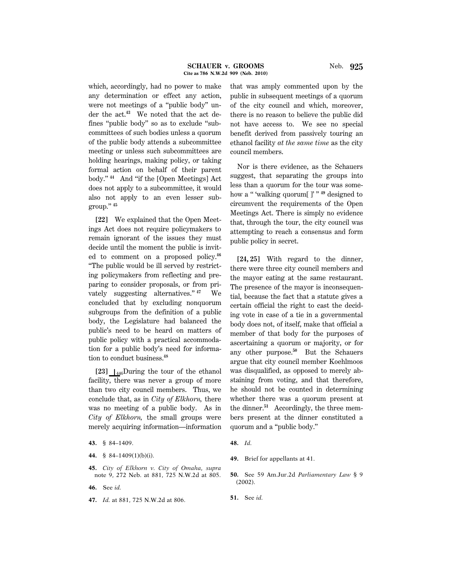which, accordingly, had no power to make any determination or effect any action, were not meetings of a ''public body'' under the act.**43** We noted that the act defines ''public body'' so as to exclude ''subcommittees of such bodies unless a quorum of the public body attends a subcommittee meeting or unless such subcommittees are holding hearings, making policy, or taking formal action on behalf of their parent body.'' **<sup>44</sup>** And ''if the [Open Meetings] Act does not apply to a subcommittee, it would also not apply to an even lesser subgroup.'' **<sup>45</sup>**

**[22]** We explained that the Open Meetings Act does not require policymakers to remain ignorant of the issues they must decide until the moment the public is invited to comment on a proposed policy.**<sup>46</sup>** ''The public would be ill served by restricting policymakers from reflecting and preparing to consider proposals, or from privately suggesting alternatives.'' **<sup>47</sup>** We concluded that by excluding nonquorum subgroups from the definition of a public body, the Legislature had balanced the public's need to be heard on matters of public policy with a practical accommodation for a public body's need for information to conduct business.**<sup>48</sup>**

[23]  $\vert_{446}$ During the tour of the ethanol facility, there was never a group of more than two city council members. Thus, we conclude that, as in *City of Elkhorn,* there was no meeting of a public body. As in *City of Elkhorn,* the small groups were merely acquiring information—information

- **45.** *City of Elkhorn v. City of Omaha, supra* note 9, 272 Neb. at 881, 725 N.W.2d at 805.
- **46.** See *id.*
- **47.** *Id.* at 881, 725 N.W.2d at 806.

that was amply commented upon by the public in subsequent meetings of a quorum of the city council and which, moreover, there is no reason to believe the public did not have access to. We see no special benefit derived from passively touring an ethanol facility *at the same time* as the city council members.

Nor is there evidence, as the Schauers suggest, that separating the groups into less than a quorum for the tour was somehow a '' 'walking quorum[ ]' '' **<sup>49</sup>** designed to circumvent the requirements of the Open Meetings Act. There is simply no evidence that, through the tour, the city council was attempting to reach a consensus and form public policy in secret.

**[24, 25]** With regard to the dinner, there were three city council members and the mayor eating at the same restaurant. The presence of the mayor is inconsequential, because the fact that a statute gives a certain official the right to cast the deciding vote in case of a tie in a governmental body does not, of itself, make that official a member of that body for the purposes of ascertaining a quorum or majority, or for any other purpose.**<sup>50</sup>** But the Schauers argue that city council member Koehlmoos was disqualified, as opposed to merely abstaining from voting, and that therefore, he should not be counted in determining whether there was a quorum present at the dinner.**51** Accordingly, the three members present at the dinner constituted a quorum and a ''public body.''

- **50.** See 59 Am.Jur.2d *Parliamentary Law* § 9 (2002).
- **51.** See *id.*

**<sup>43.</sup>** § 84–1409.

**<sup>44.</sup>** § 84–1409(1)(b)(i).

**<sup>48.</sup>** *Id.*

**<sup>49.</sup>** Brief for appellants at 41.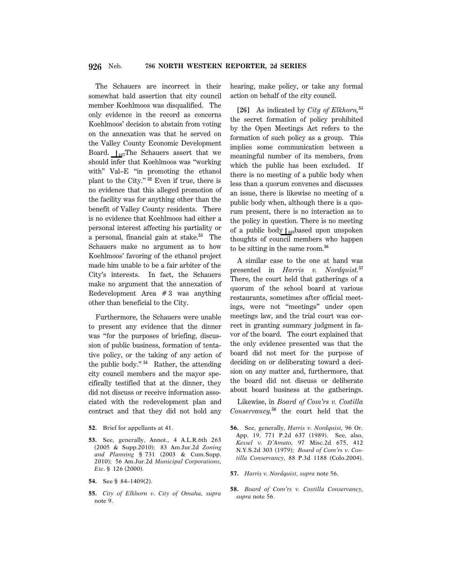The Schauers are incorrect in their somewhat bald assertion that city council member Koehlmoos was disqualified. The only evidence in the record as concerns Koehlmoos' decision to abstain from voting on the annexation was that he served on the Valley County Economic Development Board.  $\mu_{447}$ The Schauers assert that we should infer that Koehlmoos was ''working with" Val–E "in promoting the ethanol plant to the City.'' **<sup>52</sup>** Even if true, there is no evidence that this alleged promotion of the facility was for anything other than the benefit of Valley County residents. There is no evidence that Koehlmoos had either a personal interest affecting his partiality or a personal, financial gain at stake.**<sup>53</sup>** The Schauers make no argument as to how Koehlmoos' favoring of the ethanol project made him unable to be a fair arbiter of the City's interests. In fact, the Schauers make no argument that the annexation of Redevelopment Area  $# 3$  was anything other than beneficial to the City.

Furthermore, the Schauers were unable to present any evidence that the dinner was "for the purposes of briefing, discussion of public business, formation of tentative policy, or the taking of any action of the public body.'' **<sup>54</sup>** Rather, the attending city council members and the mayor specifically testified that at the dinner, they did not discuss or receive information associated with the redevelopment plan and contract and that they did not hold any

- **54.** See § 84–1409(2).
- **55.** *City of Elkhorn v. City of Omaha, supra* note 9.

hearing, make policy, or take any formal action on behalf of the city council.

**[26]** As indicated by *City of Elkhorn,***<sup>55</sup>** the secret formation of policy prohibited by the Open Meetings Act refers to the formation of such policy as a group. This implies some communication between a meaningful number of its members, from which the public has been excluded. If there is no meeting of a public body when less than a quorum convenes and discusses an issue, there is likewise no meeting of a public body when, although there is a quorum present, there is no interaction as to the policy in question. There is no meeting of a public body  $\frac{1}{448}$ based upon unspoken thoughts of council members who happen to be sitting in the same room.**<sup>56</sup>**

A similar case to the one at hand was presented in *Harris v. Nordquist.***<sup>57</sup>** There, the court held that gatherings of a quorum of the school board at various restaurants, sometimes after official meetings, were not ''meetings'' under open meetings law, and the trial court was correct in granting summary judgment in favor of the board. The court explained that the only evidence presented was that the board did not meet for the purpose of deciding on or deliberating toward a decision on any matter and, furthermore, that the board did not discuss or deliberate about board business at the gatherings.

Likewise, in *Board of Com'rs v. Costilla Conservancy,***<sup>58</sup>** the court held that the

- **56.** See, generally, *Harris v. Nordquist,* 96 Or. App. 19, 771 P.2d 637 (1989). See, also, *Kessel v. D'Amato,* 97 Misc.2d 675, 412 N.Y.S.2d 303 (1979); *Board of Com'rs v. Costilla Conservancy,* 88 P.3d 1188 (Colo.2004).
- **57.** *Harris v. Nordquist, supra* note 56.
- **58.** *Board of Com'rs v. Costilla Conservancy, supra* note 56.

**<sup>52.</sup>** Brief for appellants at 41.

**<sup>53.</sup>** See, generally, Annot., 4 A.L.R.6th 263 (2005 & Supp.2010); 83 Am.Jur.2d *Zoning and Planning* § 731 (2003 & Cum.Supp. 2010); 56 Am.Jur.2d *Municipal Corporations, Etc.* § 126 (2000).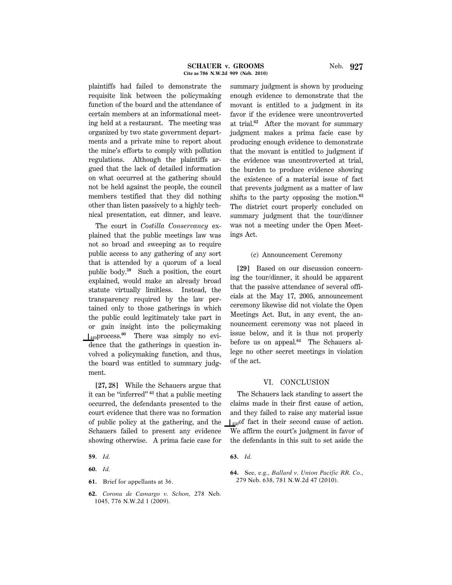plaintiffs had failed to demonstrate the requisite link between the policymaking function of the board and the attendance of certain members at an informational meeting held at a restaurant. The meeting was organized by two state government departments and a private mine to report about the mine's efforts to comply with pollution regulations. Although the plaintiffs argued that the lack of detailed information on what occurred at the gathering should not be held against the people, the council members testified that they did nothing other than listen passively to a highly technical presentation, eat dinner, and leave.

The court in *Costilla Conservancy* explained that the public meetings law was not so broad and sweeping as to require public access to any gathering of any sort that is attended by a quorum of a local public body.**<sup>59</sup>** Such a position, the court explained, would make an already broad statute virtually limitless. Instead, the transparency required by the law pertained only to those gatherings in which the public could legitimately take part in or gain insight into the policymaking S449process.**<sup>60</sup>** There was simply no evidence that the gatherings in question involved a policymaking function, and thus, the board was entitled to summary judgment.

**[27, 28]** While the Schauers argue that it can be ''inferred'' **<sup>61</sup>** that a public meeting occurred, the defendants presented to the court evidence that there was no formation of public policy at the gathering, and the Schauers failed to present any evidence showing otherwise. A prima facie case for

- **61.** Brief for appellants at 36.
- **62.** *Corona de Camargo v. Schon,* 278 Neb. 1045, 776 N.W.2d 1 (2009).

summary judgment is shown by producing enough evidence to demonstrate that the movant is entitled to a judgment in its favor if the evidence were uncontroverted at trial.**<sup>62</sup>** After the movant for summary judgment makes a prima facie case by producing enough evidence to demonstrate that the movant is entitled to judgment if the evidence was uncontroverted at trial, the burden to produce evidence showing the existence of a material issue of fact that prevents judgment as a matter of law shifts to the party opposing the motion.**<sup>63</sup>** The district court properly concluded on summary judgment that the tour/dinner was not a meeting under the Open Meetings Act.

#### (c) Announcement Ceremony

**[29]** Based on our discussion concerning the tour/dinner, it should be apparent that the passive attendance of several officials at the May 17, 2005, announcement ceremony likewise did not violate the Open Meetings Act. But, in any event, the announcement ceremony was not placed in issue below, and it is thus not properly before us on appeal.**64** The Schauers allege no other secret meetings in violation of the act.

## VI. CONCLUSION

The Schauers lack standing to assert the claims made in their first cause of action, and they failed to raise any material issue  $\left| \right|_{450}$ of fact in their second cause of action. We affirm the court's judgment in favor of the defendants in this suit to set aside the

**<sup>59.</sup>** *Id.*

**<sup>60.</sup>** *Id.*

**<sup>63.</sup>** *Id.*

**<sup>64.</sup>** See, e.g., *Ballard v. Union Pacific RR. Co.,* 279 Neb. 638, 781 N.W.2d 47 (2010).